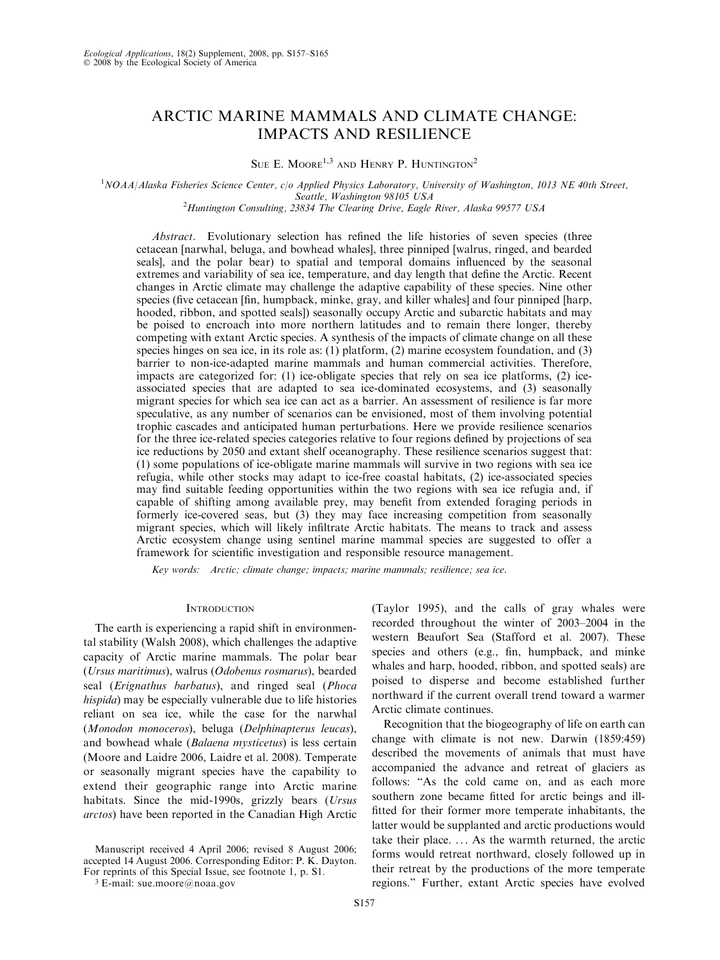# ARCTIC MARINE MAMMALS AND CLIMATE CHANGE: IMPACTS AND RESILIENCE

SUE E. MOORE<sup>1,3</sup> AND HENRY P. HUNTINGTON<sup>2</sup>

<sup>1</sup>NOAA/Alaska Fisheries Science Center, c/o Applied Physics Laboratory, University of Washington, 1013 NE 40th Street, Seattle, Washington 98105 USA<br><sup>2</sup>Huntington Consulting, 23834 The Clearing Drive, Eagle River, Alaska 99577 USA

Abstract. Evolutionary selection has refined the life histories of seven species (three cetacean [narwhal, beluga, and bowhead whales], three pinniped [walrus, ringed, and bearded seals], and the polar bear) to spatial and temporal domains influenced by the seasonal extremes and variability of sea ice, temperature, and day length that define the Arctic. Recent changes in Arctic climate may challenge the adaptive capability of these species. Nine other species (five cetacean [fin, humpback, minke, gray, and killer whales] and four pinniped [harp, hooded, ribbon, and spotted seals]) seasonally occupy Arctic and subarctic habitats and may be poised to encroach into more northern latitudes and to remain there longer, thereby competing with extant Arctic species. A synthesis of the impacts of climate change on all these species hinges on sea ice, in its role as: (1) platform, (2) marine ecosystem foundation, and (3) barrier to non-ice-adapted marine mammals and human commercial activities. Therefore, impacts are categorized for: (1) ice-obligate species that rely on sea ice platforms, (2) iceassociated species that are adapted to sea ice-dominated ecosystems, and (3) seasonally migrant species for which sea ice can act as a barrier. An assessment of resilience is far more speculative, as any number of scenarios can be envisioned, most of them involving potential trophic cascades and anticipated human perturbations. Here we provide resilience scenarios for the three ice-related species categories relative to four regions defined by projections of sea ice reductions by 2050 and extant shelf oceanography. These resilience scenarios suggest that: (1) some populations of ice-obligate marine mammals will survive in two regions with sea ice refugia, while other stocks may adapt to ice-free coastal habitats, (2) ice-associated species may find suitable feeding opportunities within the two regions with sea ice refugia and, if capable of shifting among available prey, may benefit from extended foraging periods in formerly ice-covered seas, but (3) they may face increasing competition from seasonally migrant species, which will likely infiltrate Arctic habitats. The means to track and assess Arctic ecosystem change using sentinel marine mammal species are suggested to offer a framework for scientific investigation and responsible resource management.

Key words: Arctic; climate change; impacts; marine mammals; resilience; sea ice.

## **INTRODUCTION**

The earth is experiencing a rapid shift in environmental stability (Walsh 2008), which challenges the adaptive capacity of Arctic marine mammals. The polar bear (Ursus maritimus), walrus (Odobenus rosmarus), bearded seal (Erignathus barbatus), and ringed seal (Phoca hispida) may be especially vulnerable due to life histories reliant on sea ice, while the case for the narwhal (Monodon monoceros), beluga (Delphinapterus leucas), and bowhead whale (Balaena mysticetus) is less certain (Moore and Laidre 2006, Laidre et al. 2008). Temperate or seasonally migrant species have the capability to extend their geographic range into Arctic marine habitats. Since the mid-1990s, grizzly bears (Ursus arctos) have been reported in the Canadian High Arctic

Manuscript received 4 April 2006; revised 8 August 2006; accepted 14 August 2006. Corresponding Editor: P. K. Dayton. For reprints of this Special Issue, see footnote 1, p. S1.

<sup>3</sup> E-mail: sue.moore@noaa.gov

(Taylor 1995), and the calls of gray whales were recorded throughout the winter of 2003–2004 in the western Beaufort Sea (Stafford et al. 2007). These species and others (e.g., fin, humpback, and minke whales and harp, hooded, ribbon, and spotted seals) are poised to disperse and become established further northward if the current overall trend toward a warmer Arctic climate continues.

Recognition that the biogeography of life on earth can change with climate is not new. Darwin (1859:459) described the movements of animals that must have accompanied the advance and retreat of glaciers as follows: "As the cold came on, and as each more southern zone became fitted for arctic beings and illfitted for their former more temperate inhabitants, the latter would be supplanted and arctic productions would take their place. ... As the warmth returned, the arctic forms would retreat northward, closely followed up in their retreat by the productions of the more temperate regions.'' Further, extant Arctic species have evolved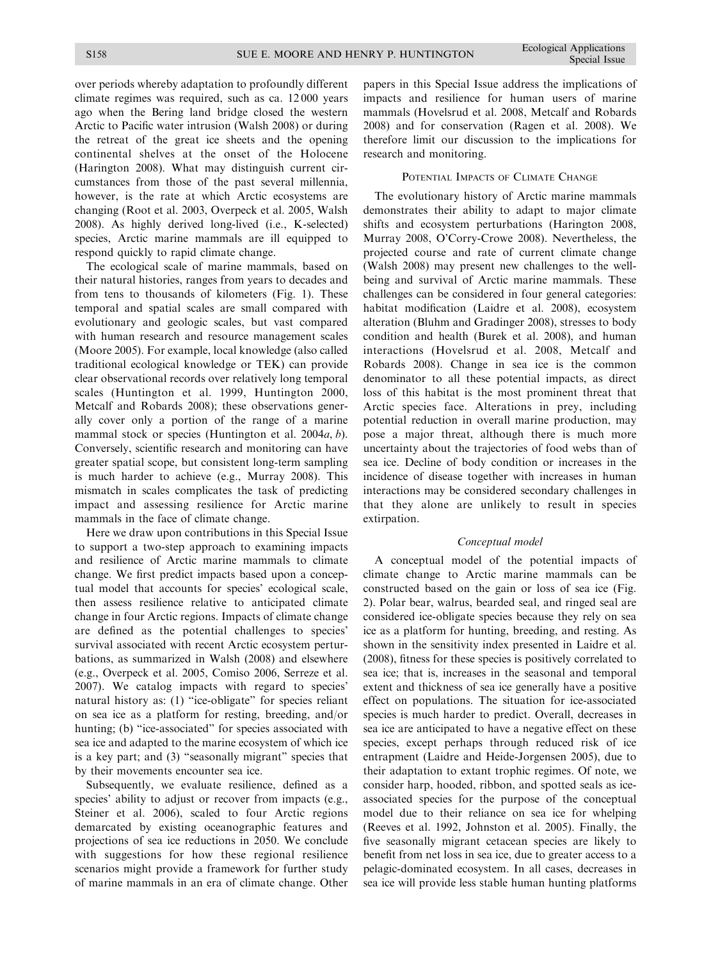over periods whereby adaptation to profoundly different climate regimes was required, such as ca. 12 000 years ago when the Bering land bridge closed the western Arctic to Pacific water intrusion (Walsh 2008) or during the retreat of the great ice sheets and the opening continental shelves at the onset of the Holocene (Harington 2008). What may distinguish current circumstances from those of the past several millennia, however, is the rate at which Arctic ecosystems are changing (Root et al. 2003, Overpeck et al. 2005, Walsh 2008). As highly derived long-lived (i.e., K-selected) species, Arctic marine mammals are ill equipped to respond quickly to rapid climate change.

The ecological scale of marine mammals, based on their natural histories, ranges from years to decades and from tens to thousands of kilometers (Fig. 1). These temporal and spatial scales are small compared with evolutionary and geologic scales, but vast compared with human research and resource management scales (Moore 2005). For example, local knowledge (also called traditional ecological knowledge or TEK) can provide clear observational records over relatively long temporal scales (Huntington et al. 1999, Huntington 2000, Metcalf and Robards 2008); these observations generally cover only a portion of the range of a marine mammal stock or species (Huntington et al. 2004a, b). Conversely, scientific research and monitoring can have greater spatial scope, but consistent long-term sampling is much harder to achieve (e.g., Murray 2008). This mismatch in scales complicates the task of predicting impact and assessing resilience for Arctic marine mammals in the face of climate change.

Here we draw upon contributions in this Special Issue to support a two-step approach to examining impacts and resilience of Arctic marine mammals to climate change. We first predict impacts based upon a conceptual model that accounts for species' ecological scale, then assess resilience relative to anticipated climate change in four Arctic regions. Impacts of climate change are defined as the potential challenges to species' survival associated with recent Arctic ecosystem perturbations, as summarized in Walsh (2008) and elsewhere (e.g., Overpeck et al. 2005, Comiso 2006, Serreze et al. 2007). We catalog impacts with regard to species' natural history as: (1) "ice-obligate" for species reliant on sea ice as a platform for resting, breeding, and/or hunting; (b) "ice-associated" for species associated with sea ice and adapted to the marine ecosystem of which ice is a key part; and (3) ''seasonally migrant'' species that by their movements encounter sea ice.

Subsequently, we evaluate resilience, defined as a species' ability to adjust or recover from impacts (e.g., Steiner et al. 2006), scaled to four Arctic regions demarcated by existing oceanographic features and projections of sea ice reductions in 2050. We conclude with suggestions for how these regional resilience scenarios might provide a framework for further study of marine mammals in an era of climate change. Other papers in this Special Issue address the implications of impacts and resilience for human users of marine mammals (Hovelsrud et al. 2008, Metcalf and Robards 2008) and for conservation (Ragen et al. 2008). We therefore limit our discussion to the implications for research and monitoring.

# POTENTIAL IMPACTS OF CLIMATE CHANGE

The evolutionary history of Arctic marine mammals demonstrates their ability to adapt to major climate shifts and ecosystem perturbations (Harington 2008, Murray 2008, O'Corry-Crowe 2008). Nevertheless, the projected course and rate of current climate change (Walsh 2008) may present new challenges to the wellbeing and survival of Arctic marine mammals. These challenges can be considered in four general categories: habitat modification (Laidre et al. 2008), ecosystem alteration (Bluhm and Gradinger 2008), stresses to body condition and health (Burek et al. 2008), and human interactions (Hovelsrud et al. 2008, Metcalf and Robards 2008). Change in sea ice is the common denominator to all these potential impacts, as direct loss of this habitat is the most prominent threat that Arctic species face. Alterations in prey, including potential reduction in overall marine production, may pose a major threat, although there is much more uncertainty about the trajectories of food webs than of sea ice. Decline of body condition or increases in the incidence of disease together with increases in human interactions may be considered secondary challenges in that they alone are unlikely to result in species extirpation.

## Conceptual model

A conceptual model of the potential impacts of climate change to Arctic marine mammals can be constructed based on the gain or loss of sea ice (Fig. 2). Polar bear, walrus, bearded seal, and ringed seal are considered ice-obligate species because they rely on sea ice as a platform for hunting, breeding, and resting. As shown in the sensitivity index presented in Laidre et al. (2008), fitness for these species is positively correlated to sea ice; that is, increases in the seasonal and temporal extent and thickness of sea ice generally have a positive effect on populations. The situation for ice-associated species is much harder to predict. Overall, decreases in sea ice are anticipated to have a negative effect on these species, except perhaps through reduced risk of ice entrapment (Laidre and Heide-Jorgensen 2005), due to their adaptation to extant trophic regimes. Of note, we consider harp, hooded, ribbon, and spotted seals as iceassociated species for the purpose of the conceptual model due to their reliance on sea ice for whelping (Reeves et al. 1992, Johnston et al. 2005). Finally, the five seasonally migrant cetacean species are likely to benefit from net loss in sea ice, due to greater access to a pelagic-dominated ecosystem. In all cases, decreases in sea ice will provide less stable human hunting platforms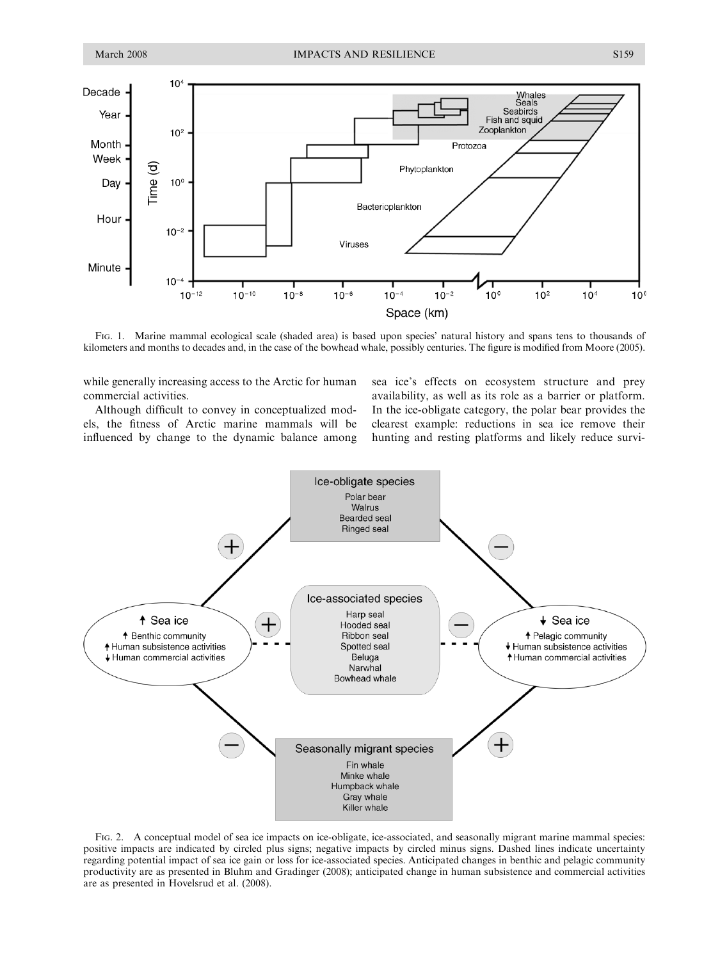

FIG. 1. Marine mammal ecological scale (shaded area) is based upon species' natural history and spans tens to thousands of kilometers and months to decades and, in the case of the bowhead whale, possibly centuries. The figure is modified from Moore (2005).

while generally increasing access to the Arctic for human commercial activities.

Although difficult to convey in conceptualized models, the fitness of Arctic marine mammals will be influenced by change to the dynamic balance among sea ice's effects on ecosystem structure and prey availability, as well as its role as a barrier or platform. In the ice-obligate category, the polar bear provides the clearest example: reductions in sea ice remove their hunting and resting platforms and likely reduce survi-



FIG. 2. A conceptual model of sea ice impacts on ice-obligate, ice-associated, and seasonally migrant marine mammal species: positive impacts are indicated by circled plus signs; negative impacts by circled minus signs. Dashed lines indicate uncertainty regarding potential impact of sea ice gain or loss for ice-associated species. Anticipated changes in benthic and pelagic community productivity are as presented in Bluhm and Gradinger (2008); anticipated change in human subsistence and commercial activities are as presented in Hovelsrud et al. (2008).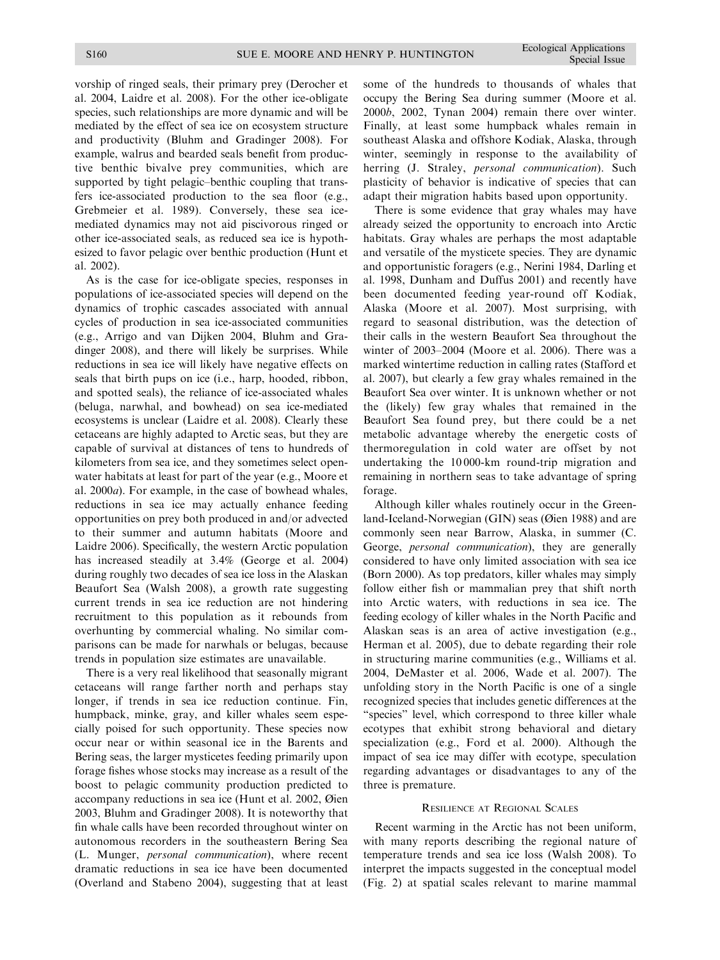vorship of ringed seals, their primary prey (Derocher et al. 2004, Laidre et al. 2008). For the other ice-obligate species, such relationships are more dynamic and will be mediated by the effect of sea ice on ecosystem structure and productivity (Bluhm and Gradinger 2008). For example, walrus and bearded seals benefit from productive benthic bivalve prey communities, which are supported by tight pelagic–benthic coupling that transfers ice-associated production to the sea floor (e.g., Grebmeier et al. 1989). Conversely, these sea icemediated dynamics may not aid piscivorous ringed or other ice-associated seals, as reduced sea ice is hypothesized to favor pelagic over benthic production (Hunt et al. 2002).

As is the case for ice-obligate species, responses in populations of ice-associated species will depend on the dynamics of trophic cascades associated with annual cycles of production in sea ice-associated communities (e.g., Arrigo and van Dijken 2004, Bluhm and Gradinger 2008), and there will likely be surprises. While reductions in sea ice will likely have negative effects on seals that birth pups on ice (i.e., harp, hooded, ribbon, and spotted seals), the reliance of ice-associated whales (beluga, narwhal, and bowhead) on sea ice-mediated ecosystems is unclear (Laidre et al. 2008). Clearly these cetaceans are highly adapted to Arctic seas, but they are capable of survival at distances of tens to hundreds of kilometers from sea ice, and they sometimes select openwater habitats at least for part of the year (e.g., Moore et al. 2000a). For example, in the case of bowhead whales, reductions in sea ice may actually enhance feeding opportunities on prey both produced in and/or advected to their summer and autumn habitats (Moore and Laidre 2006). Specifically, the western Arctic population has increased steadily at 3.4% (George et al. 2004) during roughly two decades of sea ice loss in the Alaskan Beaufort Sea (Walsh 2008), a growth rate suggesting current trends in sea ice reduction are not hindering recruitment to this population as it rebounds from overhunting by commercial whaling. No similar comparisons can be made for narwhals or belugas, because trends in population size estimates are unavailable.

There is a very real likelihood that seasonally migrant cetaceans will range farther north and perhaps stay longer, if trends in sea ice reduction continue. Fin, humpback, minke, gray, and killer whales seem especially poised for such opportunity. These species now occur near or within seasonal ice in the Barents and Bering seas, the larger mysticetes feeding primarily upon forage fishes whose stocks may increase as a result of the boost to pelagic community production predicted to accompany reductions in sea ice (Hunt et al. 2002, Øien 2003, Bluhm and Gradinger 2008). It is noteworthy that fin whale calls have been recorded throughout winter on autonomous recorders in the southeastern Bering Sea (L. Munger, personal communication), where recent dramatic reductions in sea ice have been documented (Overland and Stabeno 2004), suggesting that at least some of the hundreds to thousands of whales that occupy the Bering Sea during summer (Moore et al. 2000b, 2002, Tynan 2004) remain there over winter. Finally, at least some humpback whales remain in southeast Alaska and offshore Kodiak, Alaska, through winter, seemingly in response to the availability of herring (J. Straley, personal communication). Such plasticity of behavior is indicative of species that can adapt their migration habits based upon opportunity.

There is some evidence that gray whales may have already seized the opportunity to encroach into Arctic habitats. Gray whales are perhaps the most adaptable and versatile of the mysticete species. They are dynamic and opportunistic foragers (e.g., Nerini 1984, Darling et al. 1998, Dunham and Duffus 2001) and recently have been documented feeding year-round off Kodiak, Alaska (Moore et al. 2007). Most surprising, with regard to seasonal distribution, was the detection of their calls in the western Beaufort Sea throughout the winter of 2003–2004 (Moore et al. 2006). There was a marked wintertime reduction in calling rates (Stafford et al. 2007), but clearly a few gray whales remained in the Beaufort Sea over winter. It is unknown whether or not the (likely) few gray whales that remained in the Beaufort Sea found prey, but there could be a net metabolic advantage whereby the energetic costs of thermoregulation in cold water are offset by not undertaking the 10 000-km round-trip migration and remaining in northern seas to take advantage of spring forage.

Although killer whales routinely occur in the Greenland-Iceland-Norwegian (GIN) seas (Øien 1988) and are commonly seen near Barrow, Alaska, in summer (C. George, personal communication), they are generally considered to have only limited association with sea ice (Born 2000). As top predators, killer whales may simply follow either fish or mammalian prey that shift north into Arctic waters, with reductions in sea ice. The feeding ecology of killer whales in the North Pacific and Alaskan seas is an area of active investigation (e.g., Herman et al. 2005), due to debate regarding their role in structuring marine communities (e.g., Williams et al. 2004, DeMaster et al. 2006, Wade et al. 2007). The unfolding story in the North Pacific is one of a single recognized species that includes genetic differences at the "species" level, which correspond to three killer whale ecotypes that exhibit strong behavioral and dietary specialization (e.g., Ford et al. 2000). Although the impact of sea ice may differ with ecotype, speculation regarding advantages or disadvantages to any of the three is premature.

#### RESILIENCE AT REGIONAL SCALES

Recent warming in the Arctic has not been uniform, with many reports describing the regional nature of temperature trends and sea ice loss (Walsh 2008). To interpret the impacts suggested in the conceptual model (Fig. 2) at spatial scales relevant to marine mammal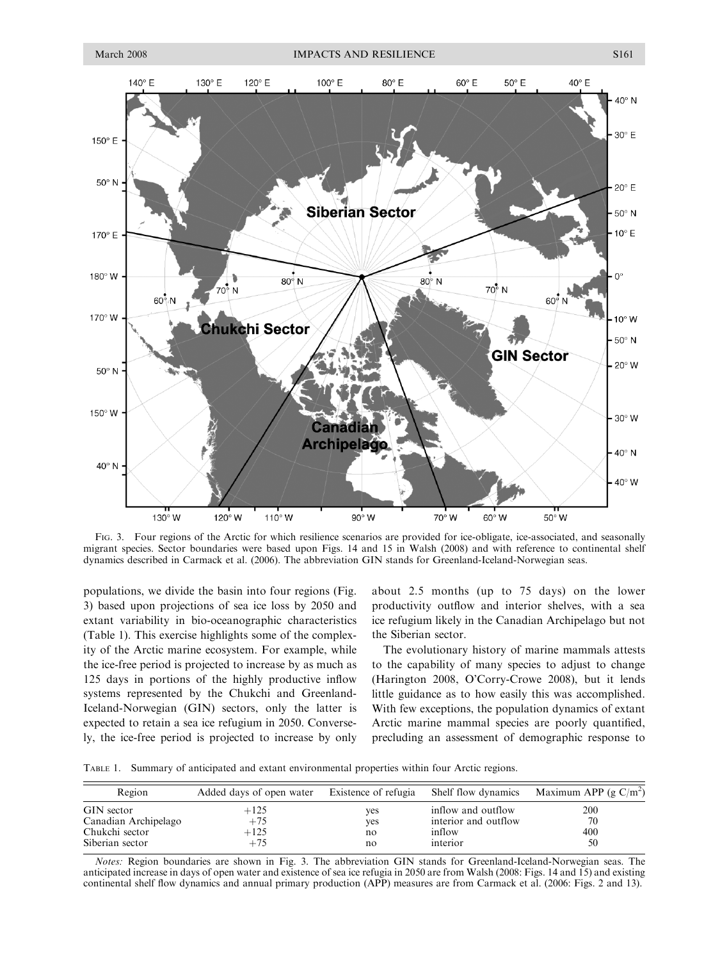

FIG. 3. Four regions of the Arctic for which resilience scenarios are provided for ice-obligate, ice-associated, and seasonally migrant species. Sector boundaries were based upon Figs. 14 and 15 in Walsh (2008) and with reference to continental shelf dynamics described in Carmack et al. (2006). The abbreviation GIN stands for Greenland-Iceland-Norwegian seas.

populations, we divide the basin into four regions (Fig. 3) based upon projections of sea ice loss by 2050 and extant variability in bio-oceanographic characteristics (Table 1). This exercise highlights some of the complexity of the Arctic marine ecosystem. For example, while the ice-free period is projected to increase by as much as 125 days in portions of the highly productive inflow systems represented by the Chukchi and Greenland-Iceland-Norwegian (GIN) sectors, only the latter is expected to retain a sea ice refugium in 2050. Conversely, the ice-free period is projected to increase by only about 2.5 months (up to 75 days) on the lower productivity outflow and interior shelves, with a sea ice refugium likely in the Canadian Archipelago but not the Siberian sector.

The evolutionary history of marine mammals attests to the capability of many species to adjust to change (Harington 2008, O'Corry-Crowe 2008), but it lends little guidance as to how easily this was accomplished. With few exceptions, the population dynamics of extant Arctic marine mammal species are poorly quantified, precluding an assessment of demographic response to

TABLE 1. Summary of anticipated and extant environmental properties within four Arctic regions.

| Region               | Added days of open water | Existence of refugia | Shelf flow dynamics  | Maximum APP (g $C/m^2$ ) |
|----------------------|--------------------------|----------------------|----------------------|--------------------------|
| GIN sector           | $+125$                   | yes                  | inflow and outflow   | 200                      |
| Canadian Archipelago | $+75$                    | yes                  | interior and outflow | 70                       |
| Chukchi sector       | $+125$                   | no                   | inflow               | 400                      |
| Siberian sector      | $+75$                    | no                   | interior             | 50                       |

Notes: Region boundaries are shown in Fig. 3. The abbreviation GIN stands for Greenland-Iceland-Norwegian seas. The anticipated increase in days of open water and existence of sea ice refugia in 2050 are from Walsh (2008: Figs. 14 and 15) and existing continental shelf flow dynamics and annual primary production (APP) measures are from Carmack et al. (2006: Figs. 2 and 13).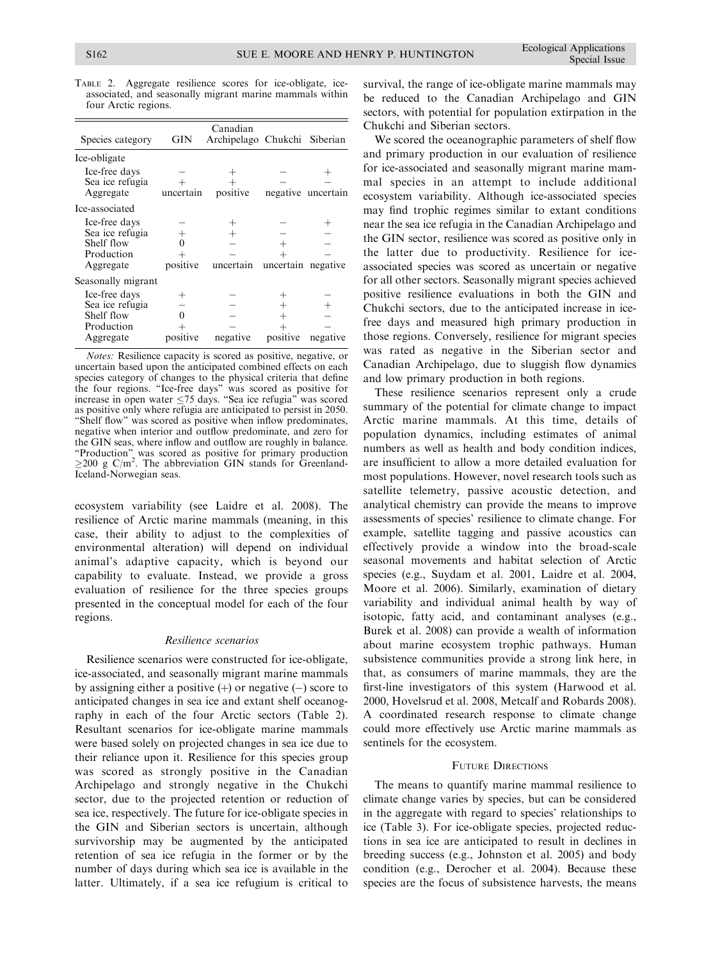| Species category                                                          | GIN       | Canadian<br>Archipelago Chukchi |           | Siberian           |
|---------------------------------------------------------------------------|-----------|---------------------------------|-----------|--------------------|
| Ice-obligate                                                              |           |                                 |           |                    |
| Ice-free days<br>Sea ice refugia<br>Aggregate                             | uncertain | positive                        |           | negative uncertain |
| Ice-associated                                                            |           |                                 |           |                    |
| Ice-free days<br>Sea ice refugia<br>Shelf flow<br>Production<br>Aggregate | positive  | uncertain                       | uncertain | negative           |
| Seasonally migrant                                                        |           |                                 |           |                    |
| Ice-free days<br>Sea ice refugia<br>Shelf flow<br>Production<br>Aggregate | positive  | negative                        | positive  | negative           |
|                                                                           |           |                                 |           |                    |

TABLE 2. Aggregate resilience scores for ice-obligate, iceassociated, and seasonally migrant marine mammals within four Arctic regions.

Notes: Resilience capacity is scored as positive, negative, or uncertain based upon the anticipated combined effects on each species category of changes to the physical criteria that define the four regions. ''Ice-free days'' was scored as positive for increase in open water  $\leq 75$  days. "Sea ice refugia" was scored as positive only where refugia are anticipated to persist in 2050. "Shelf flow" was scored as positive when inflow predominates, negative when interior and outflow predominate, and zero for the GIN seas, where inflow and outflow are roughly in balance. "Production" was scored as positive for primary production  $\geq$ 200 g C/m<sup>2</sup>. The abbreviation GIN stands for Greenland-Iceland-Norwegian seas.

ecosystem variability (see Laidre et al. 2008). The resilience of Arctic marine mammals (meaning, in this case, their ability to adjust to the complexities of environmental alteration) will depend on individual animal's adaptive capacity, which is beyond our capability to evaluate. Instead, we provide a gross evaluation of resilience for the three species groups presented in the conceptual model for each of the four regions.

## Resilience scenarios

Resilience scenarios were constructed for ice-obligate, ice-associated, and seasonally migrant marine mammals by assigning either a positive  $(+)$  or negative  $(-)$  score to anticipated changes in sea ice and extant shelf oceanography in each of the four Arctic sectors (Table 2). Resultant scenarios for ice-obligate marine mammals were based solely on projected changes in sea ice due to their reliance upon it. Resilience for this species group was scored as strongly positive in the Canadian Archipelago and strongly negative in the Chukchi sector, due to the projected retention or reduction of sea ice, respectively. The future for ice-obligate species in the GIN and Siberian sectors is uncertain, although survivorship may be augmented by the anticipated retention of sea ice refugia in the former or by the number of days during which sea ice is available in the latter. Ultimately, if a sea ice refugium is critical to

survival, the range of ice-obligate marine mammals may be reduced to the Canadian Archipelago and GIN sectors, with potential for population extirpation in the Chukchi and Siberian sectors.

We scored the oceanographic parameters of shelf flow and primary production in our evaluation of resilience for ice-associated and seasonally migrant marine mammal species in an attempt to include additional ecosystem variability. Although ice-associated species may find trophic regimes similar to extant conditions near the sea ice refugia in the Canadian Archipelago and the GIN sector, resilience was scored as positive only in the latter due to productivity. Resilience for iceassociated species was scored as uncertain or negative for all other sectors. Seasonally migrant species achieved positive resilience evaluations in both the GIN and Chukchi sectors, due to the anticipated increase in icefree days and measured high primary production in those regions. Conversely, resilience for migrant species was rated as negative in the Siberian sector and Canadian Archipelago, due to sluggish flow dynamics and low primary production in both regions.

These resilience scenarios represent only a crude summary of the potential for climate change to impact Arctic marine mammals. At this time, details of population dynamics, including estimates of animal numbers as well as health and body condition indices, are insufficient to allow a more detailed evaluation for most populations. However, novel research tools such as satellite telemetry, passive acoustic detection, and analytical chemistry can provide the means to improve assessments of species' resilience to climate change. For example, satellite tagging and passive acoustics can effectively provide a window into the broad-scale seasonal movements and habitat selection of Arctic species (e.g., Suydam et al. 2001, Laidre et al. 2004, Moore et al. 2006). Similarly, examination of dietary variability and individual animal health by way of isotopic, fatty acid, and contaminant analyses (e.g., Burek et al. 2008) can provide a wealth of information about marine ecosystem trophic pathways. Human subsistence communities provide a strong link here, in that, as consumers of marine mammals, they are the first-line investigators of this system (Harwood et al. 2000, Hovelsrud et al. 2008, Metcalf and Robards 2008). A coordinated research response to climate change could more effectively use Arctic marine mammals as sentinels for the ecosystem.

#### FUTURE DIRECTIONS

The means to quantify marine mammal resilience to climate change varies by species, but can be considered in the aggregate with regard to species' relationships to ice (Table 3). For ice-obligate species, projected reductions in sea ice are anticipated to result in declines in breeding success (e.g., Johnston et al. 2005) and body condition (e.g., Derocher et al. 2004). Because these species are the focus of subsistence harvests, the means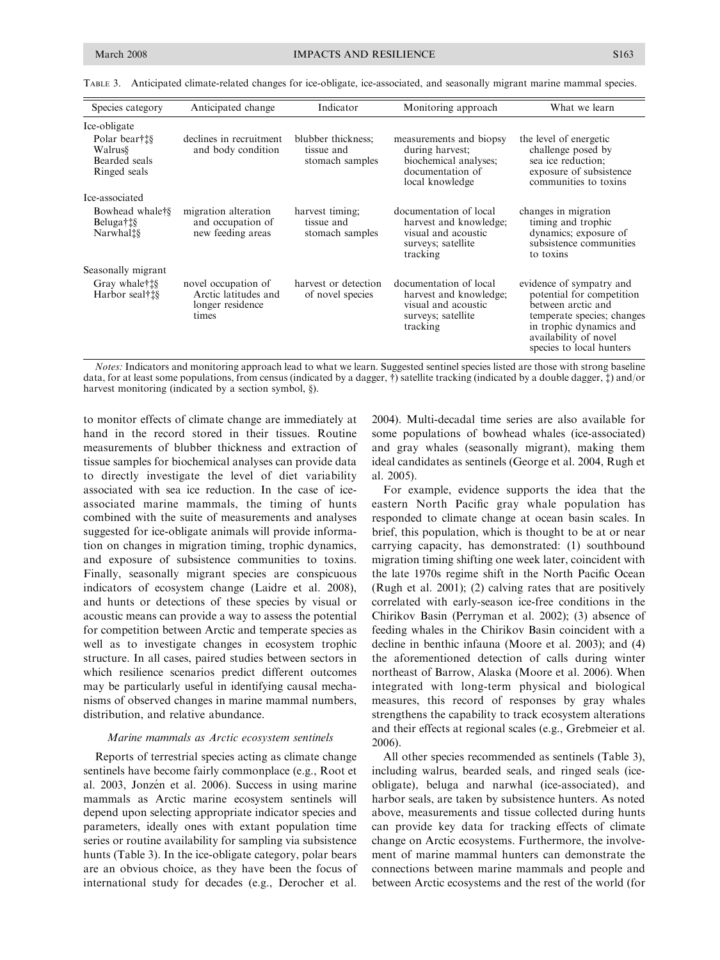| Species category                                          | Anticipated change                                                       | Indicator                                           | Monitoring approach                                                                                        | What we learn                                                                                                                                                                             |
|-----------------------------------------------------------|--------------------------------------------------------------------------|-----------------------------------------------------|------------------------------------------------------------------------------------------------------------|-------------------------------------------------------------------------------------------------------------------------------------------------------------------------------------------|
| Ice-obligate                                              |                                                                          |                                                     |                                                                                                            |                                                                                                                                                                                           |
| Polar bear†‡§<br>Walrus§<br>Bearded seals<br>Ringed seals | declines in recruitment<br>and body condition                            | blubber thickness;<br>tissue and<br>stomach samples | measurements and biopsy<br>during harvest;<br>biochemical analyses;<br>documentation of<br>local knowledge | the level of energetic<br>challenge posed by<br>sea ice reduction;<br>exposure of subsistence<br>communities to toxins                                                                    |
| Ice-associated                                            |                                                                          |                                                     |                                                                                                            |                                                                                                                                                                                           |
| Bowhead whale <sup>†§</sup><br>Beluga†‡§<br>Narwhal‡§     | migration alteration<br>and occupation of<br>new feeding areas           | harvest timing;<br>tissue and<br>stomach samples    | documentation of local<br>harvest and knowledge;<br>visual and acoustic<br>surveys; satellite<br>tracking  | changes in migration<br>timing and trophic<br>dynamics; exposure of<br>subsistence communities<br>to toxins                                                                               |
| Seasonally migrant                                        |                                                                          |                                                     |                                                                                                            |                                                                                                                                                                                           |
| Gray whale <sup>†</sup><br>Harbor seal†‡§                 | novel occupation of<br>Arctic latitudes and<br>longer residence<br>times | harvest or detection<br>of novel species            | documentation of local<br>harvest and knowledge;<br>visual and acoustic<br>surveys; satellite<br>tracking  | evidence of sympatry and<br>potential for competition<br>between arctic and<br>temperate species; changes<br>in trophic dynamics and<br>availability of novel<br>species to local hunters |

TABLE 3. Anticipated climate-related changes for ice-obligate, ice-associated, and seasonally migrant marine mammal species.

Notes: Indicators and monitoring approach lead to what we learn. Suggested sentinel species listed are those with strong baseline data, for at least some populations, from census (indicated by a dagger, †) satellite tracking (indicated by a double dagger, ‡) and/or harvest monitoring (indicated by a section symbol, §).

to monitor effects of climate change are immediately at hand in the record stored in their tissues. Routine measurements of blubber thickness and extraction of tissue samples for biochemical analyses can provide data to directly investigate the level of diet variability associated with sea ice reduction. In the case of iceassociated marine mammals, the timing of hunts combined with the suite of measurements and analyses suggested for ice-obligate animals will provide information on changes in migration timing, trophic dynamics, and exposure of subsistence communities to toxins. Finally, seasonally migrant species are conspicuous indicators of ecosystem change (Laidre et al. 2008), and hunts or detections of these species by visual or acoustic means can provide a way to assess the potential for competition between Arctic and temperate species as well as to investigate changes in ecosystem trophic structure. In all cases, paired studies between sectors in which resilience scenarios predict different outcomes may be particularly useful in identifying causal mechanisms of observed changes in marine mammal numbers, distribution, and relative abundance.

#### Marine mammals as Arctic ecosystem sentinels

Reports of terrestrial species acting as climate change sentinels have become fairly commonplace (e.g., Root et al. 2003, Jonzén et al. 2006). Success in using marine mammals as Arctic marine ecosystem sentinels will depend upon selecting appropriate indicator species and parameters, ideally ones with extant population time series or routine availability for sampling via subsistence hunts (Table 3). In the ice-obligate category, polar bears are an obvious choice, as they have been the focus of international study for decades (e.g., Derocher et al. 2004). Multi-decadal time series are also available for some populations of bowhead whales (ice-associated) and gray whales (seasonally migrant), making them ideal candidates as sentinels (George et al. 2004, Rugh et al. 2005).

For example, evidence supports the idea that the eastern North Pacific gray whale population has responded to climate change at ocean basin scales. In brief, this population, which is thought to be at or near carrying capacity, has demonstrated: (1) southbound migration timing shifting one week later, coincident with the late 1970s regime shift in the North Pacific Ocean (Rugh et al. 2001); (2) calving rates that are positively correlated with early-season ice-free conditions in the Chirikov Basin (Perryman et al. 2002); (3) absence of feeding whales in the Chirikov Basin coincident with a decline in benthic infauna (Moore et al. 2003); and (4) the aforementioned detection of calls during winter northeast of Barrow, Alaska (Moore et al. 2006). When integrated with long-term physical and biological measures, this record of responses by gray whales strengthens the capability to track ecosystem alterations and their effects at regional scales (e.g., Grebmeier et al. 2006).

All other species recommended as sentinels (Table 3), including walrus, bearded seals, and ringed seals (iceobligate), beluga and narwhal (ice-associated), and harbor seals, are taken by subsistence hunters. As noted above, measurements and tissue collected during hunts can provide key data for tracking effects of climate change on Arctic ecosystems. Furthermore, the involvement of marine mammal hunters can demonstrate the connections between marine mammals and people and between Arctic ecosystems and the rest of the world (for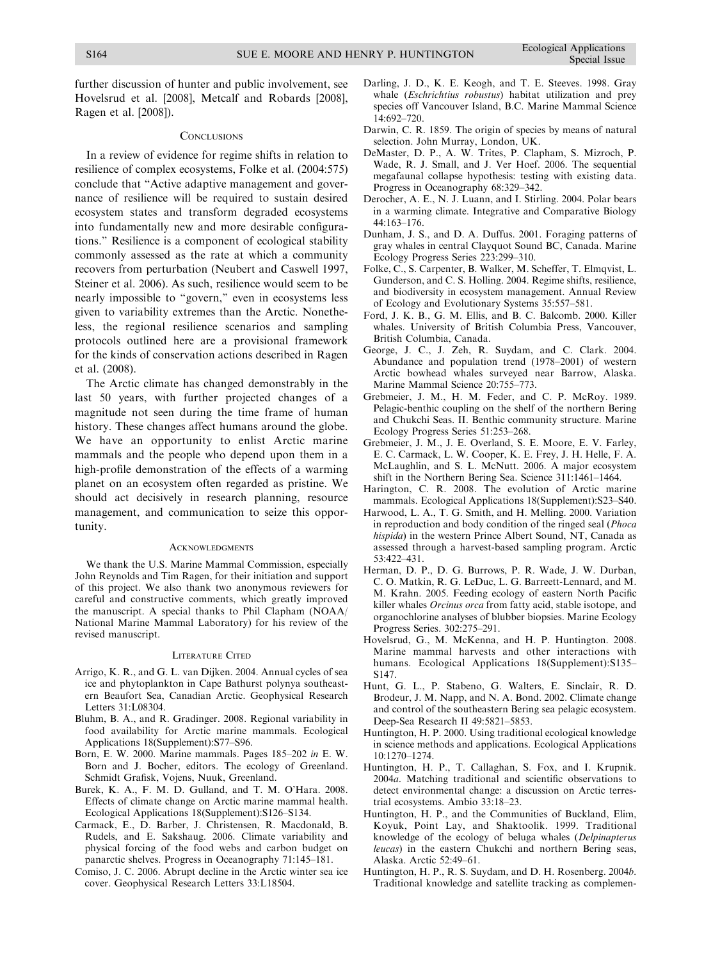further discussion of hunter and public involvement, see Hovelsrud et al. [2008], Metcalf and Robards [2008], Ragen et al. [2008]).

#### **CONCLUSIONS**

In a review of evidence for regime shifts in relation to resilience of complex ecosystems, Folke et al. (2004:575) conclude that ''Active adaptive management and governance of resilience will be required to sustain desired ecosystem states and transform degraded ecosystems into fundamentally new and more desirable configurations.'' Resilience is a component of ecological stability commonly assessed as the rate at which a community recovers from perturbation (Neubert and Caswell 1997, Steiner et al. 2006). As such, resilience would seem to be nearly impossible to "govern," even in ecosystems less given to variability extremes than the Arctic. Nonetheless, the regional resilience scenarios and sampling protocols outlined here are a provisional framework for the kinds of conservation actions described in Ragen et al. (2008).

The Arctic climate has changed demonstrably in the last 50 years, with further projected changes of a magnitude not seen during the time frame of human history. These changes affect humans around the globe. We have an opportunity to enlist Arctic marine mammals and the people who depend upon them in a high-profile demonstration of the effects of a warming planet on an ecosystem often regarded as pristine. We should act decisively in research planning, resource management, and communication to seize this opportunity.

#### **ACKNOWLEDGMENTS**

We thank the U.S. Marine Mammal Commission, especially John Reynolds and Tim Ragen, for their initiation and support of this project. We also thank two anonymous reviewers for careful and constructive comments, which greatly improved the manuscript. A special thanks to Phil Clapham (NOAA/ National Marine Mammal Laboratory) for his review of the revised manuscript.

#### LITERATURE CITED

- Arrigo, K. R., and G. L. van Dijken. 2004. Annual cycles of sea ice and phytoplankton in Cape Bathurst polynya southeastern Beaufort Sea, Canadian Arctic. Geophysical Research Letters 31:L08304.
- Bluhm, B. A., and R. Gradinger. 2008. Regional variability in food availability for Arctic marine mammals. Ecological Applications 18(Supplement):S77–S96.
- Born, E. W. 2000. Marine mammals. Pages 185–202 in E. W. Born and J. Bocher, editors. The ecology of Greenland. Schmidt Grafisk, Vojens, Nuuk, Greenland.
- Burek, K. A., F. M. D. Gulland, and T. M. O'Hara. 2008. Effects of climate change on Arctic marine mammal health. Ecological Applications 18(Supplement):S126–S134.
- Carmack, E., D. Barber, J. Christensen, R. Macdonald, B. Rudels, and E. Sakshaug. 2006. Climate variability and physical forcing of the food webs and carbon budget on panarctic shelves. Progress in Oceanography 71:145–181.
- Comiso, J. C. 2006. Abrupt decline in the Arctic winter sea ice cover. Geophysical Research Letters 33:L18504.
- Darling, J. D., K. E. Keogh, and T. E. Steeves. 1998. Gray whale (Eschrichtius robustus) habitat utilization and prey species off Vancouver Island, B.C. Marine Mammal Science 14:692–720.
- Darwin, C. R. 1859. The origin of species by means of natural selection. John Murray, London, UK.
- DeMaster, D. P., A. W. Trites, P. Clapham, S. Mizroch, P. Wade, R. J. Small, and J. Ver Hoef. 2006. The sequential megafaunal collapse hypothesis: testing with existing data. Progress in Oceanography 68:329–342.
- Derocher, A. E., N. J. Luann, and I. Stirling. 2004. Polar bears in a warming climate. Integrative and Comparative Biology 44:163–176.
- Dunham, J. S., and D. A. Duffus. 2001. Foraging patterns of gray whales in central Clayquot Sound BC, Canada. Marine Ecology Progress Series 223:299–310.
- Folke, C., S. Carpenter, B. Walker, M. Scheffer, T. Elmqvist, L. Gunderson, and C. S. Holling. 2004. Regime shifts, resilience, and biodiversity in ecosystem management. Annual Review of Ecology and Evolutionary Systems 35:557–581.
- Ford, J. K. B., G. M. Ellis, and B. C. Balcomb. 2000. Killer whales. University of British Columbia Press, Vancouver, British Columbia, Canada.
- George, J. C., J. Zeh, R. Suydam, and C. Clark. 2004. Abundance and population trend (1978–2001) of western Arctic bowhead whales surveyed near Barrow, Alaska. Marine Mammal Science 20:755–773.
- Grebmeier, J. M., H. M. Feder, and C. P. McRoy. 1989. Pelagic-benthic coupling on the shelf of the northern Bering and Chukchi Seas. II. Benthic community structure. Marine Ecology Progress Series 51:253–268.
- Grebmeier, J. M., J. E. Overland, S. E. Moore, E. V. Farley, E. C. Carmack, L. W. Cooper, K. E. Frey, J. H. Helle, F. A. McLaughlin, and S. L. McNutt. 2006. A major ecosystem shift in the Northern Bering Sea. Science 311:1461–1464.
- Harington, C. R. 2008. The evolution of Arctic marine mammals. Ecological Applications 18(Supplement):S23–S40.
- Harwood, L. A., T. G. Smith, and H. Melling. 2000. Variation in reproduction and body condition of the ringed seal (Phoca hispida) in the western Prince Albert Sound, NT, Canada as assessed through a harvest-based sampling program. Arctic 53:422–431.
- Herman, D. P., D. G. Burrows, P. R. Wade, J. W. Durban, C. O. Matkin, R. G. LeDuc, L. G. Barreett-Lennard, and M. M. Krahn. 2005. Feeding ecology of eastern North Pacific killer whales Orcinus orca from fatty acid, stable isotope, and organochlorine analyses of blubber biopsies. Marine Ecology Progress Series. 302:275–291.
- Hovelsrud, G., M. McKenna, and H. P. Huntington. 2008. Marine mammal harvests and other interactions with humans. Ecological Applications 18(Supplement):S135– S147.
- Hunt, G. L., P. Stabeno, G. Walters, E. Sinclair, R. D. Brodeur, J. M. Napp, and N. A. Bond. 2002. Climate change and control of the southeastern Bering sea pelagic ecosystem. Deep-Sea Research II 49:5821–5853.
- Huntington, H. P. 2000. Using traditional ecological knowledge in science methods and applications. Ecological Applications 10:1270–1274.
- Huntington, H. P., T. Callaghan, S. Fox, and I. Krupnik. 2004a. Matching traditional and scientific observations to detect environmental change: a discussion on Arctic terrestrial ecosystems. Ambio 33:18–23.
- Huntington, H. P., and the Communities of Buckland, Elim, Koyuk, Point Lay, and Shaktoolik. 1999. Traditional knowledge of the ecology of beluga whales (Delpinapterus leucas) in the eastern Chukchi and northern Bering seas, Alaska. Arctic 52:49–61.
- Huntington, H. P., R. S. Suydam, and D. H. Rosenberg. 2004b. Traditional knowledge and satellite tracking as complemen-